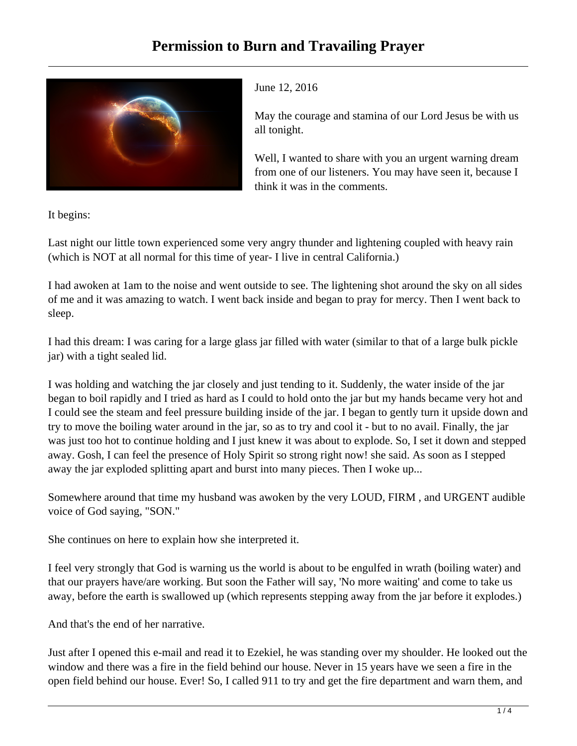

June 12, 2016

May the courage and stamina of our Lord Jesus be with us all tonight.

Well, I wanted to share with you an urgent warning dream from one of our listeners. You may have seen it, because I think it was in the comments.

It begins:

Last night our little town experienced some very angry thunder and lightening coupled with heavy rain (which is NOT at all normal for this time of year- I live in central California.)

I had awoken at 1am to the noise and went outside to see. The lightening shot around the sky on all sides of me and it was amazing to watch. I went back inside and began to pray for mercy. Then I went back to sleep.

I had this dream: I was caring for a large glass jar filled with water (similar to that of a large bulk pickle jar) with a tight sealed lid.

I was holding and watching the jar closely and just tending to it. Suddenly, the water inside of the jar began to boil rapidly and I tried as hard as I could to hold onto the jar but my hands became very hot and I could see the steam and feel pressure building inside of the jar. I began to gently turn it upside down and try to move the boiling water around in the jar, so as to try and cool it - but to no avail. Finally, the jar was just too hot to continue holding and I just knew it was about to explode. So, I set it down and stepped away. Gosh, I can feel the presence of Holy Spirit so strong right now! she said. As soon as I stepped away the jar exploded splitting apart and burst into many pieces. Then I woke up...

Somewhere around that time my husband was awoken by the very LOUD, FIRM , and URGENT audible voice of God saying, "SON."

She continues on here to explain how she interpreted it.

I feel very strongly that God is warning us the world is about to be engulfed in wrath (boiling water) and that our prayers have/are working. But soon the Father will say, 'No more waiting' and come to take us away, before the earth is swallowed up (which represents stepping away from the jar before it explodes.)

And that's the end of her narrative.

Just after I opened this e-mail and read it to Ezekiel, he was standing over my shoulder. He looked out the window and there was a fire in the field behind our house. Never in 15 years have we seen a fire in the open field behind our house. Ever! So, I called 911 to try and get the fire department and warn them, and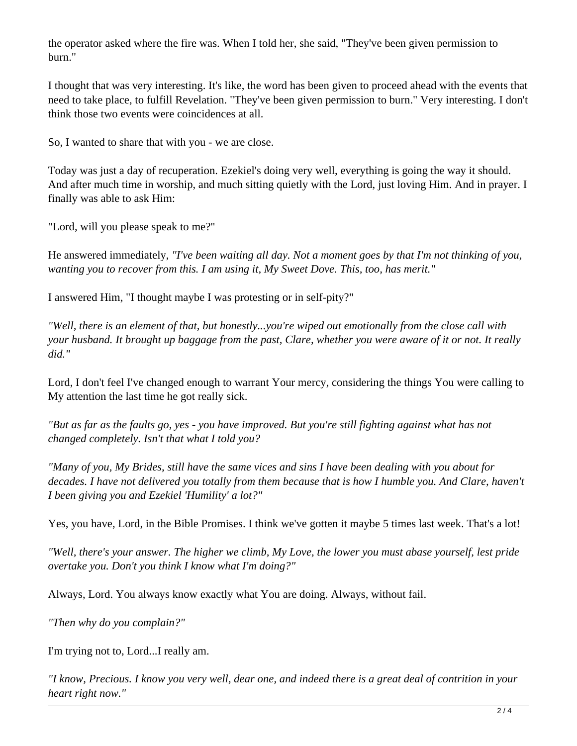the operator asked where the fire was. When I told her, she said, "They've been given permission to burn."

I thought that was very interesting. It's like, the word has been given to proceed ahead with the events that need to take place, to fulfill Revelation. "They've been given permission to burn." Very interesting. I don't think those two events were coincidences at all.

So, I wanted to share that with you - we are close.

Today was just a day of recuperation. Ezekiel's doing very well, everything is going the way it should. And after much time in worship, and much sitting quietly with the Lord, just loving Him. And in prayer. I finally was able to ask Him:

"Lord, will you please speak to me?"

He answered immediately, *"I've been waiting all day. Not a moment goes by that I'm not thinking of you, wanting you to recover from this. I am using it, My Sweet Dove. This, too, has merit."*

I answered Him, "I thought maybe I was protesting or in self-pity?"

*"Well, there is an element of that, but honestly...you're wiped out emotionally from the close call with your husband. It brought up baggage from the past, Clare, whether you were aware of it or not. It really did."*

Lord, I don't feel I've changed enough to warrant Your mercy, considering the things You were calling to My attention the last time he got really sick.

*"But as far as the faults go, yes - you have improved. But you're still fighting against what has not changed completely. Isn't that what I told you?*

*"Many of you, My Brides, still have the same vices and sins I have been dealing with you about for decades. I have not delivered you totally from them because that is how I humble you. And Clare, haven't I been giving you and Ezekiel 'Humility' a lot?"*

Yes, you have, Lord, in the Bible Promises. I think we've gotten it maybe 5 times last week. That's a lot!

*"Well, there's your answer. The higher we climb, My Love, the lower you must abase yourself, lest pride overtake you. Don't you think I know what I'm doing?"*

Always, Lord. You always know exactly what You are doing. Always, without fail.

*"Then why do you complain?"* 

I'm trying not to, Lord...I really am.

*"I know, Precious. I know you very well, dear one, and indeed there is a great deal of contrition in your heart right now."*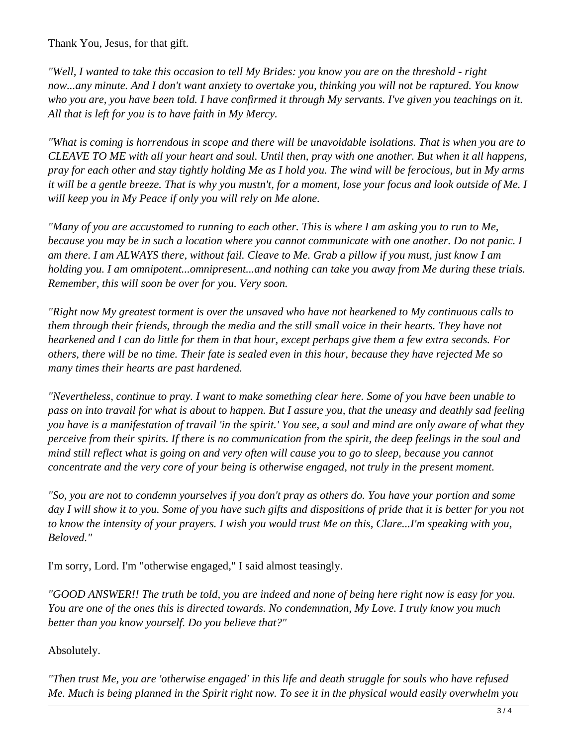Thank You, Jesus, for that gift.

*"Well, I wanted to take this occasion to tell My Brides: you know you are on the threshold - right now...any minute. And I don't want anxiety to overtake you, thinking you will not be raptured. You know who you are, you have been told. I have confirmed it through My servants. I've given you teachings on it. All that is left for you is to have faith in My Mercy.*

*"What is coming is horrendous in scope and there will be unavoidable isolations. That is when you are to CLEAVE TO ME with all your heart and soul. Until then, pray with one another. But when it all happens, pray for each other and stay tightly holding Me as I hold you. The wind will be ferocious, but in My arms it will be a gentle breeze. That is why you mustn't, for a moment, lose your focus and look outside of Me. I will keep you in My Peace if only you will rely on Me alone.*

*"Many of you are accustomed to running to each other. This is where I am asking you to run to Me, because you may be in such a location where you cannot communicate with one another. Do not panic. I am there. I am ALWAYS there, without fail. Cleave to Me. Grab a pillow if you must, just know I am holding you. I am omnipotent...omnipresent...and nothing can take you away from Me during these trials. Remember, this will soon be over for you. Very soon.*

*"Right now My greatest torment is over the unsaved who have not hearkened to My continuous calls to them through their friends, through the media and the still small voice in their hearts. They have not hearkened and I can do little for them in that hour, except perhaps give them a few extra seconds. For others, there will be no time. Their fate is sealed even in this hour, because they have rejected Me so many times their hearts are past hardened.*

*"Nevertheless, continue to pray. I want to make something clear here. Some of you have been unable to pass on into travail for what is about to happen. But I assure you, that the uneasy and deathly sad feeling you have is a manifestation of travail 'in the spirit.' You see, a soul and mind are only aware of what they perceive from their spirits. If there is no communication from the spirit, the deep feelings in the soul and mind still reflect what is going on and very often will cause you to go to sleep, because you cannot concentrate and the very core of your being is otherwise engaged, not truly in the present moment.* 

*"So, you are not to condemn yourselves if you don't pray as others do. You have your portion and some day I will show it to you. Some of you have such gifts and dispositions of pride that it is better for you not to know the intensity of your prayers. I wish you would trust Me on this, Clare...I'm speaking with you, Beloved."*

I'm sorry, Lord. I'm "otherwise engaged," I said almost teasingly.

*"GOOD ANSWER!! The truth be told, you are indeed and none of being here right now is easy for you. You are one of the ones this is directed towards. No condemnation, My Love. I truly know you much better than you know yourself. Do you believe that?"*

Absolutely.

*"Then trust Me, you are 'otherwise engaged' in this life and death struggle for souls who have refused Me. Much is being planned in the Spirit right now. To see it in the physical would easily overwhelm you*